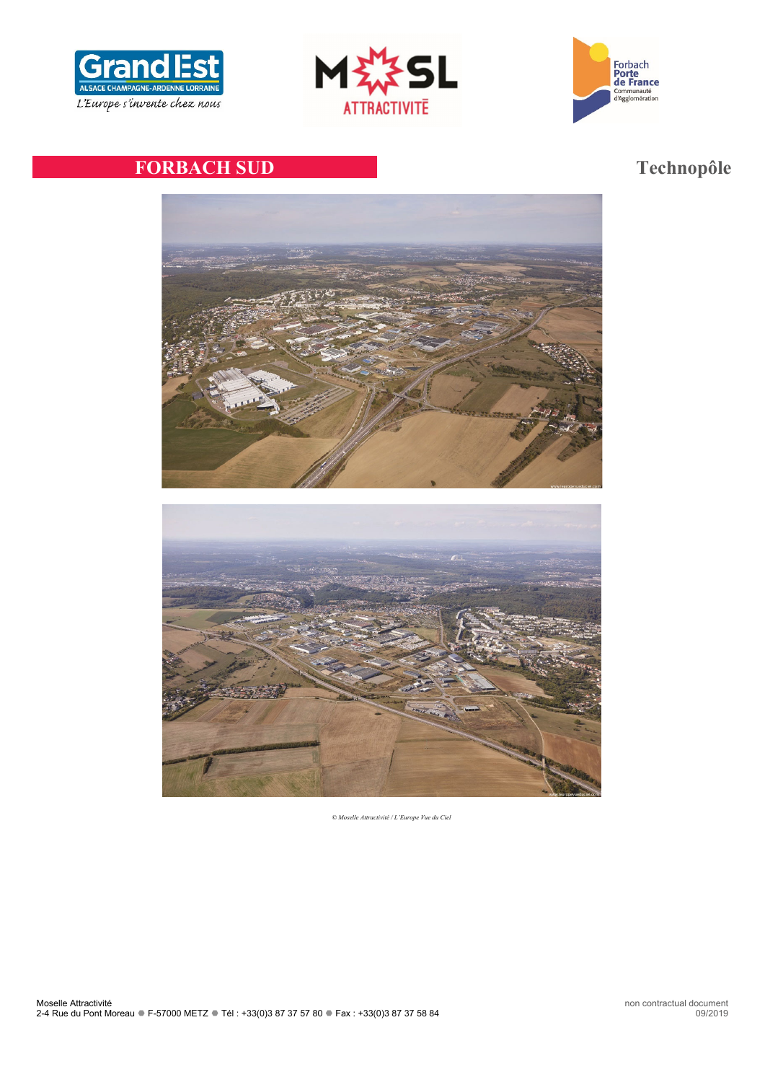





# **FORBACH SUD Technopôle**



*© Moselle Attractivité / L'Europe Vue du Ciel*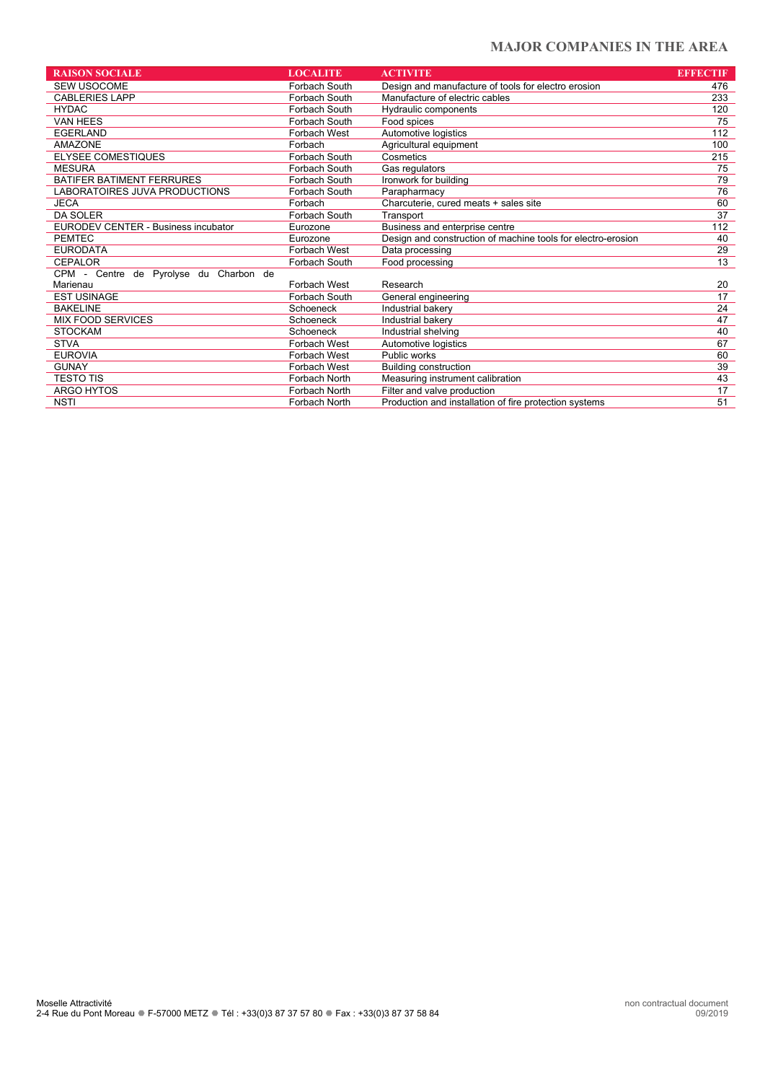### **MAJOR COMPANIES IN THE AREA**

| <b>RAISON SOCIALE</b>                  | <b>LOCALITE</b> | <b>ACTIVITE</b>                                              | <b>EFFECTIF</b> |
|----------------------------------------|-----------------|--------------------------------------------------------------|-----------------|
| <b>SEW USOCOME</b>                     | Forbach South   | Design and manufacture of tools for electro erosion          | 476             |
| <b>CABLERIES LAPP</b>                  | Forbach South   | Manufacture of electric cables                               | 233             |
| <b>HYDAC</b>                           | Forbach South   | Hydraulic components                                         | 120             |
| <b>VAN HEES</b>                        | Forbach South   | Food spices                                                  | 75              |
| <b>EGERLAND</b>                        | Forbach West    | Automotive logistics                                         | 112             |
| <b>AMAZONE</b>                         | Forbach         | Agricultural equipment                                       | 100             |
| <b>ELYSEE COMESTIQUES</b>              | Forbach South   | Cosmetics                                                    | 215             |
| <b>MESURA</b>                          | Forbach South   | Gas regulators                                               | 75              |
| BATIFER BATIMENT FERRURES              | Forbach South   | Ironwork for building                                        | 79              |
| LABORATOIRES JUVA PRODUCTIONS          | Forbach South   | Parapharmacy                                                 | 76              |
| <b>JECA</b>                            | Forbach         | Charcuterie, cured meats + sales site                        | 60              |
| <b>DA SOLER</b>                        | Forbach South   | Transport                                                    | $\overline{37}$ |
| EURODEV CENTER - Business incubator    | Eurozone        | Business and enterprise centre                               | 112             |
| <b>PEMTEC</b>                          | Eurozone        | Design and construction of machine tools for electro-erosion | 40              |
| <b>EURODATA</b>                        | Forbach West    | Data processing                                              | 29              |
| CEPALOR                                | Forbach South   | Food processing                                              | $\overline{13}$ |
| CPM - Centre de Pyrolyse du Charbon de |                 |                                                              |                 |
| Marienau                               | Forbach West    | Research                                                     | 20              |
| <b>EST USINAGE</b>                     | Forbach South   | General engineering                                          | 17              |
| <b>BAKELINE</b>                        | Schoeneck       | Industrial bakery                                            | 24              |
| <b>MIX FOOD SERVICES</b>               | Schoeneck       | Industrial bakery                                            | 47              |
| <b>STOCKAM</b>                         | Schoeneck       | Industrial shelving                                          | 40              |
| <b>STVA</b>                            | Forbach West    | Automotive logistics                                         | 67              |
| <b>EUROVIA</b>                         | Forbach West    | Public works                                                 | 60              |
| <b>GUNAY</b>                           | Forbach West    | <b>Building construction</b>                                 | 39              |
| TESTO TIS                              | Forbach North   | Measuring instrument calibration                             | 43              |
| ARGO HYTOS                             | Forbach North   | Filter and valve production                                  | 17              |
| <b>NSTI</b>                            | Forbach North   | Production and installation of fire protection systems       | 51              |